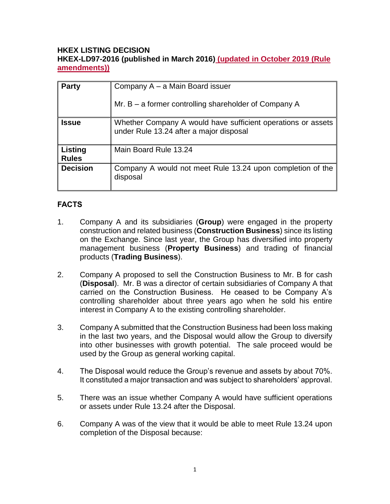### **HKEX LISTING DECISION HKEX-LD97-2016 (published in March 2016) (updated in October 2019 (Rule amendments))**

| <b>Party</b>            | Company A – a Main Board issuer                                                                         |
|-------------------------|---------------------------------------------------------------------------------------------------------|
|                         | Mr. B – a former controlling shareholder of Company A                                                   |
| <b>Issue</b>            | Whether Company A would have sufficient operations or assets<br>under Rule 13.24 after a major disposal |
| Listing<br><b>Rules</b> | Main Board Rule 13.24                                                                                   |
| <b>Decision</b>         | Company A would not meet Rule 13.24 upon completion of the<br>disposal                                  |

# **FACTS**

- 1. Company A and its subsidiaries (**Group**) were engaged in the property construction and related business (**Construction Business**) since its listing on the Exchange. Since last year, the Group has diversified into property management business (**Property Business**) and trading of financial products (**Trading Business**).
- 2. Company A proposed to sell the Construction Business to Mr. B for cash (**Disposal**). Mr. B was a director of certain subsidiaries of Company A that carried on the Construction Business. He ceased to be Company A's controlling shareholder about three years ago when he sold his entire interest in Company A to the existing controlling shareholder.
- 3. Company A submitted that the Construction Business had been loss making in the last two years, and the Disposal would allow the Group to diversify into other businesses with growth potential. The sale proceed would be used by the Group as general working capital.
- 4. The Disposal would reduce the Group's revenue and assets by about 70%. It constituted a major transaction and was subject to shareholders' approval.
- 5. There was an issue whether Company A would have sufficient operations or assets under Rule 13.24 after the Disposal.
- 6. Company A was of the view that it would be able to meet Rule 13.24 upon completion of the Disposal because: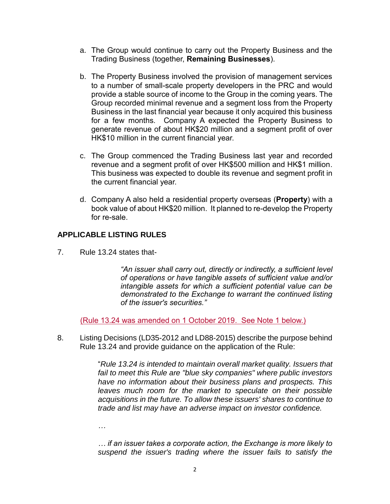- a. The Group would continue to carry out the Property Business and the Trading Business (together, **Remaining Businesses**).
- b. The Property Business involved the provision of management services to a number of small-scale property developers in the PRC and would provide a stable source of income to the Group in the coming years. The Group recorded minimal revenue and a segment loss from the Property Business in the last financial year because it only acquired this business for a few months. Company A expected the Property Business to generate revenue of about HK\$20 million and a segment profit of over HK\$10 million in the current financial year.
- c. The Group commenced the Trading Business last year and recorded revenue and a segment profit of over HK\$500 million and HK\$1 million. This business was expected to double its revenue and segment profit in the current financial year.
- d. Company A also held a residential property overseas (**Property**) with a book value of about HK\$20 million. It planned to re-develop the Property for re-sale.

## **APPLICABLE LISTING RULES**

7. Rule 13.24 states that-

*"An issuer shall carry out, directly or indirectly, a sufficient level of operations or have tangible assets of sufficient value and/or intangible assets for which a sufficient potential value can be demonstrated to the Exchange to warrant the continued listing of the issuer's securities."*

(Rule 13.24 was amended on 1 October 2019. See Note 1 below.)

8. Listing Decisions (LD35-2012 and LD88-2015) describe the purpose behind Rule 13.24 and provide guidance on the application of the Rule:

> "*Rule 13.24 is intended to maintain overall market quality. Issuers that fail to meet this Rule are "blue sky companies" where public investors have no information about their business plans and prospects. This leaves much room for the market to speculate on their possible acquisitions in the future. To allow these issuers' shares to continue to trade and list may have an adverse impact on investor confidence.*

*…* 

*… if an issuer takes a corporate action, the Exchange is more likely to suspend the issuer's trading where the issuer fails to satisfy the*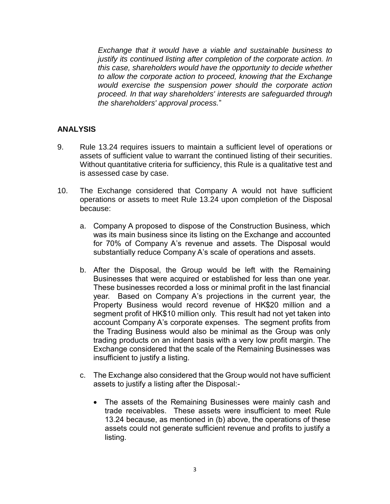*Exchange that it would have a viable and sustainable business to justify its continued listing after completion of the corporate action. In this case, shareholders would have the opportunity to decide whether to allow the corporate action to proceed, knowing that the Exchange would exercise the suspension power should the corporate action proceed. In that way shareholders' interests are safeguarded through the shareholders' approval process.*"

### **ANALYSIS**

- 9. Rule 13.24 requires issuers to maintain a sufficient level of operations or assets of sufficient value to warrant the continued listing of their securities. Without quantitative criteria for sufficiency, this Rule is a qualitative test and is assessed case by case.
- 10. The Exchange considered that Company A would not have sufficient operations or assets to meet Rule 13.24 upon completion of the Disposal because:
	- a. Company A proposed to dispose of the Construction Business, which was its main business since its listing on the Exchange and accounted for 70% of Company A's revenue and assets. The Disposal would substantially reduce Company A's scale of operations and assets.
	- b. After the Disposal, the Group would be left with the Remaining Businesses that were acquired or established for less than one year. These businesses recorded a loss or minimal profit in the last financial year. Based on Company A's projections in the current year, the Property Business would record revenue of HK\$20 million and a segment profit of HK\$10 million only. This result had not yet taken into account Company A's corporate expenses. The segment profits from the Trading Business would also be minimal as the Group was only trading products on an indent basis with a very low profit margin. The Exchange considered that the scale of the Remaining Businesses was insufficient to justify a listing.
	- c. The Exchange also considered that the Group would not have sufficient assets to justify a listing after the Disposal:-
		- The assets of the Remaining Businesses were mainly cash and trade receivables. These assets were insufficient to meet [Rule](http://en-rules.hkex.com.hk/en/display/display.html?rbid=4476&element_id=2518)  [13.24](http://en-rules.hkex.com.hk/en/display/display.html?rbid=4476&element_id=2518) because, as mentioned in (b) above, the operations of these assets could not generate sufficient revenue and profits to justify a listing.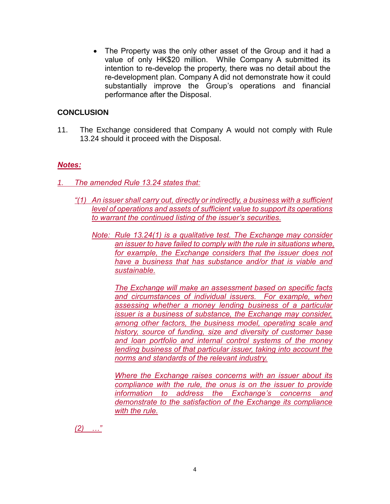• The Property was the only other asset of the Group and it had a value of only HK\$20 million. While Company A submitted its intention to re-develop the property, there was no detail about the re-development plan. Company A did not demonstrate how it could substantially improve the Group's operations and financial performance after the Disposal.

#### **CONCLUSION**

11. The Exchange considered that Company A would not comply with Rule 13.24 should it proceed with the Disposal.

#### *Notes:*

*1. The amended Rule 13.24 states that:*

- *"(1) An issuer shall carry out, directly or indirectly, a business with a sufficient level of operations and assets of sufficient value to support its operations to warrant the continued listing of the issuer's securities.*
	- *Note: Rule 13.24(1) is a qualitative test. The Exchange may consider an issuer to have failed to comply with the rule in situations where, for example, the Exchange considers that the issuer does not have a business that has substance and/or that is viable and sustainable.*

*The Exchange will make an assessment based on specific facts and circumstances of individual issuers. For example, when assessing whether a money lending business of a particular issuer is a business of substance, the Exchange may consider, among other factors, the business model, operating scale and history, source of funding, size and diversity of customer base and loan portfolio and internal control systems of the money lending business of that particular issuer, taking into account the norms and standards of the relevant industry.* 

*Where the Exchange raises concerns with an issuer about its compliance with the rule, the onus is on the issuer to provide information to address the Exchange's concerns and demonstrate to the satisfaction of the Exchange its compliance with the rule.*

*(2) …"*